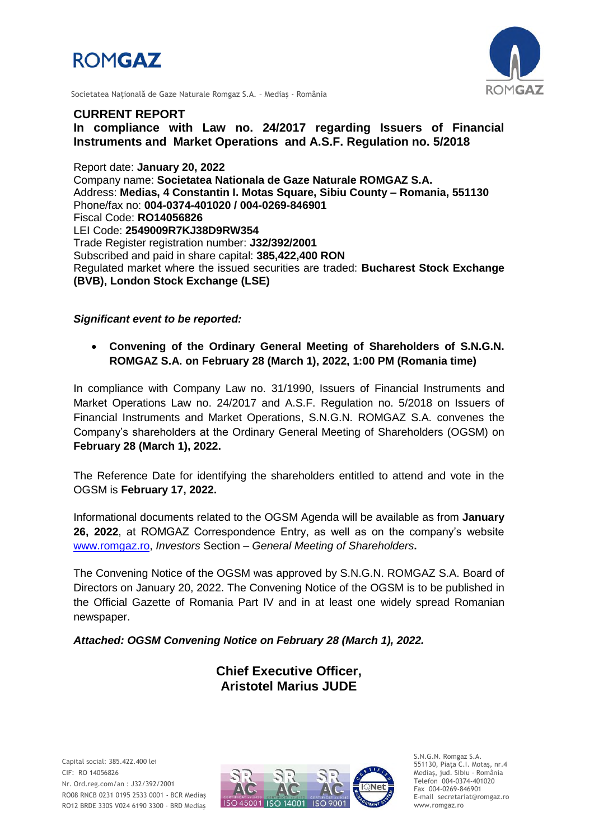



Societatea Naţională de Gaze Naturale Romgaz S.A. – Mediaş - România

### **CURRENT REPORT**

**In compliance with Law no. 24/2017 regarding Issuers of Financial Instruments and Market Operations and A.S.F. Regulation no. 5/2018**

Report date: **January 20, 2022** Company name: **Societatea Nationala de Gaze Naturale ROMGAZ S.A.** Address: **Medias, 4 Constantin I. Motas Square, Sibiu County – Romania, 551130** Phone/fax no: **004-0374-401020 / 004-0269-846901** Fiscal Code: **RO14056826** LEI Code: **2549009R7KJ38D9RW354** Trade Register registration number: **J32/392/2001** Subscribed and paid in share capital: **385,422,400 RON** Regulated market where the issued securities are traded: **Bucharest Stock Exchange (BVB), London Stock Exchange (LSE)**

### *Significant event to be reported:*

 **Convening of the Ordinary General Meeting of Shareholders of S.N.G.N. ROMGAZ S.A. on February 28 (March 1), 2022, 1:00 PM (Romania time)**

In compliance with Company Law no. 31/1990, Issuers of Financial Instruments and Market Operations Law no. 24/2017 and A.S.F. Regulation no. 5/2018 on Issuers of Financial Instruments and Market Operations, S.N.G.N. ROMGAZ S.A. convenes the Company's shareholders at the Ordinary General Meeting of Shareholders (OGSM) on **February 28 (March 1), 2022.**

The Reference Date for identifying the shareholders entitled to attend and vote in the OGSM is **February 17, 2022.**

Informational documents related to the OGSM Agenda will be available as from **January 26, 2022**, at ROMGAZ Correspondence Entry, as well as on the company's website [www.romgaz.ro,](http://www.romgaz.ro/) *Investors* Section – *General Meeting of Shareholders***.**

The Convening Notice of the OGSM was approved by S.N.G.N. ROMGAZ S.A. Board of Directors on January 20, 2022. The Convening Notice of the OGSM is to be published in the Official Gazette of Romania Part IV and in at least one widely spread Romanian newspaper.

*Attached: OGSM Convening Notice on February 28 (March 1), 2022.*

**Chief Executive Officer, Aristotel Marius JUDE**



S.N.G.N. Romgaz S.A. 551130, Piața C.I. Motaş, nr.4 Mediaş, jud. Sibiu - România Telefon 004-0374-401020 Fax 004-0269-846901 E-mail secretariat@romgaz.ro www.romgaz.ro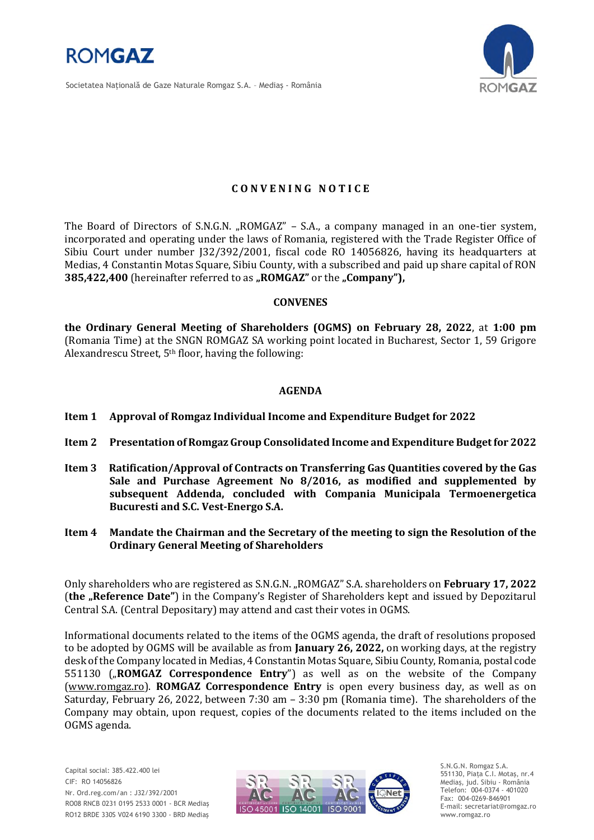

Societatea Naţională de Gaze Naturale Romgaz S.A. – Mediaş - România



# **C O N V E N I N G N O T I C E**

The Board of Directors of S.N.G.N. "ROMGAZ" – S.A., a company managed in an one-tier system, incorporated and operating under the laws of Romania, registered with the Trade Register Office of Sibiu Court under number J32/392/2001, fiscal code RO 14056826, having its headquarters at Medias, 4 Constantin Motas Square, Sibiu County, with a subscribed and paid up share capital of RON **385,422,400** (hereinafter referred to as "ROMGAZ" or the "Company"),

#### **CONVENES**

**the Ordinary General Meeting of Shareholders (OGMS) on February 28, 2022**, at **1:00 pm**  (Romania Time) at the SNGN ROMGAZ SA working point located in Bucharest, Sector 1, 59 Grigore Alexandrescu Street, 5th floor, having the following:

### **AGENDA**

- **Item 1 Approval of Romgaz Individual Income and Expenditure Budget for 2022**
- **Item 2 Presentation of Romgaz Group Consolidated Income and Expenditure Budget for 2022**
- **Item 3 Ratification/Approval of Contracts on Transferring Gas Quantities covered by the Gas Sale and Purchase Agreement No 8/2016, as modified and supplemented by subsequent Addenda, concluded with Compania Municipala Termoenergetica Bucuresti and S.C. Vest-Energo S.A.**
- **Item 4 Mandate the Chairman and the Secretary of the meeting to sign the Resolution of the Ordinary General Meeting of Shareholders**

Only shareholders who are registered as S.N.G.N. "ROMGAZ" S.A. shareholders on **February 17, 2022** (**the "Reference Date"**) in the Company's Register of Shareholders kept and issued by Depozitarul Central S.A. (Central Depositary) may attend and cast their votes in OGMS.

Informational documents related to the items of the OGMS agenda, the draft of resolutions proposed to be adopted by OGMS will be available as from **January 26, 2022,** on working days, at the registry desk of the Company located in Medias, 4 Constantin Motas Square, Sibiu County, Romania, postal code 551130 (**"ROMGAZ Correspondence Entry**") as well as on the website of the Company [\(www.romgaz.ro\)](http://www.romgaz.ro/). **ROMGAZ Correspondence Entry** is open every business day, as well as on Saturday, February 26, 2022, between 7:30 am – 3:30 pm (Romania time). The shareholders of the Company may obtain, upon request, copies of the documents related to the items included on the OGMS agenda.



S.N.G.N. Romgaz S.A. 551130, Piața C.I. Motaş, nr.4 Mediaş, jud. Sibiu - România Telefon: 004-0374 - 401020 Fax: 004-0269-846901 E-mail: secretariat@romgaz.ro www.romgaz.ro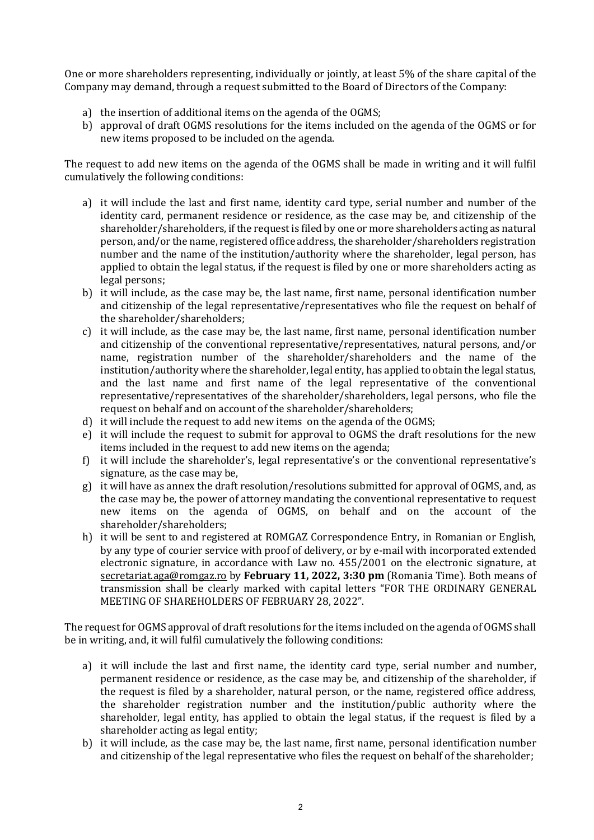One or more shareholders representing, individually or jointly, at least 5% of the share capital of the Company may demand, through a request submitted to the Board of Directors of the Company:

- a) the insertion of additional items on the agenda of the OGMS;
- b) approval of draft OGMS resolutions for the items included on the agenda of the OGMS or for new items proposed to be included on the agenda.

The request to add new items on the agenda of the OGMS shall be made in writing and it will fulfil cumulatively the following conditions:

- a) it will include the last and first name, identity card type, serial number and number of the identity card, permanent residence or residence, as the case may be, and citizenship of the shareholder/shareholders, if the request is filed by one or more shareholders acting as natural person, and/or the name, registered office address, the shareholder/shareholders registration number and the name of the institution/authority where the shareholder, legal person, has applied to obtain the legal status, if the request is filed by one or more shareholders acting as legal persons;
- b) it will include, as the case may be, the last name, first name, personal identification number and citizenship of the legal representative/representatives who file the request on behalf of the shareholder/shareholders;
- c) it will include, as the case may be, the last name, first name, personal identification number and citizenship of the conventional representative/representatives, natural persons, and/or name, registration number of the shareholder/shareholders and the name of the institution/authority where the shareholder, legal entity, has applied to obtain the legal status, and the last name and first name of the legal representative of the conventional representative/representatives of the shareholder/shareholders, legal persons, who file the request on behalf and on account of the shareholder/shareholders;
- d) it will include the request to add new items on the agenda of the OGMS;
- e) it will include the request to submit for approval to OGMS the draft resolutions for the new items included in the request to add new items on the agenda;
- f) it will include the shareholder's, legal representative's or the conventional representative's signature, as the case may be,
- g) it will have as annex the draft resolution/resolutions submitted for approval of OGMS, and, as the case may be, the power of attorney mandating the conventional representative to request new items on the agenda of OGMS, on behalf and on the account of the shareholder/shareholders;
- h) it will be sent to and registered at ROMGAZ Correspondence Entry, in Romanian or English, by any type of courier service with proof of delivery, or by e-mail with incorporated extended electronic signature, in accordance with Law no. 455/2001 on the electronic signature, at [secretariat.aga@romgaz.ro](mailto:secretariat.aga%40romgaz.ro) by **February 11, 2022, 3:30 pm** (Romania Time). Both means of transmission shall be clearly marked with capital letters "FOR THE ORDINARY GENERAL MEETING OF SHAREHOLDERS OF FEBRUARY 28, 2022".

The request for OGMS approval of draft resolutions for the items included on the agenda of OGMS shall be in writing, and, it will fulfil cumulatively the following conditions:

- a) it will include the last and first name, the identity card type, serial number and number, permanent residence or residence, as the case may be, and citizenship of the shareholder, if the request is filed by a shareholder, natural person, or the name, registered office address, the shareholder registration number and the institution/public authority where the shareholder, legal entity, has applied to obtain the legal status, if the request is filed by a shareholder acting as legal entity;
- b) it will include, as the case may be, the last name, first name, personal identification number and citizenship of the legal representative who files the request on behalf of the shareholder;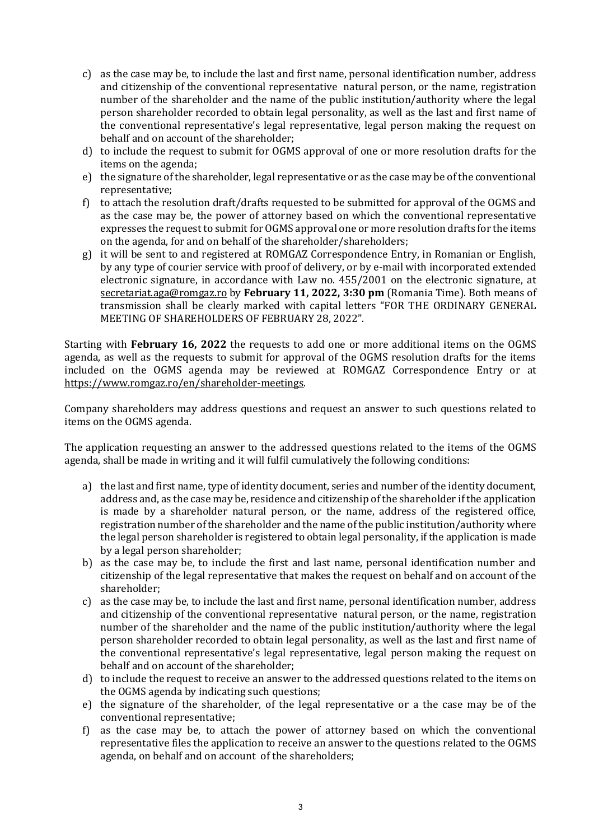- c) as the case may be, to include the last and first name, personal identification number, address and citizenship of the conventional representative natural person, or the name, registration number of the shareholder and the name of the public institution/authority where the legal person shareholder recorded to obtain legal personality, as well as the last and first name of the conventional representative's legal representative, legal person making the request on behalf and on account of the shareholder;
- d) to include the request to submit for OGMS approval of one or more resolution drafts for the items on the agenda;
- e) the signature of the shareholder, legal representative or as the case may be of the conventional representative;
- f) to attach the resolution draft/drafts requested to be submitted for approval of the OGMS and as the case may be, the power of attorney based on which the conventional representative expresses the request to submit for OGMS approval one or more resolution drafts for the items on the agenda, for and on behalf of the shareholder/shareholders;
- g) it will be sent to and registered at ROMGAZ Correspondence Entry, in Romanian or English, by any type of courier service with proof of delivery, or by e-mail with incorporated extended electronic signature, in accordance with Law no. 455/2001 on the electronic signature, at [secretariat.aga@romgaz.ro](mailto:secretariat.aga%40romgaz.ro) by **February 11, 2022, 3:30 pm** (Romania Time). Both means of transmission shall be clearly marked with capital letters "FOR THE ORDINARY GENERAL MEETING OF SHAREHOLDERS OF FEBRUARY 28, 2022".

Starting with **February 16, 2022** the requests to add one or more additional items on the OGMS agenda, as well as the requests to submit for approval of the OGMS resolution drafts for the items included on the OGMS agenda may be reviewed at ROMGAZ Correspondence Entry or at [https://www.romgaz.ro/en/shareholder-meetings.](https://www.romgaz.ro/en/shareholder-meetings)

Company shareholders may address questions and request an answer to such questions related to items on the OGMS agenda.

The application requesting an answer to the addressed questions related to the items of the OGMS agenda, shall be made in writing and it will fulfil cumulatively the following conditions:

- a) the last and first name, type of identity document, series and number of the identity document, address and, as the case may be, residence and citizenship of the shareholder if the application is made by a shareholder natural person, or the name, address of the registered office, registration number of the shareholder and the name of the public institution/authority where the legal person shareholder is registered to obtain legal personality, if the application is made by a legal person shareholder;
- b) as the case may be, to include the first and last name, personal identification number and citizenship of the legal representative that makes the request on behalf and on account of the shareholder;
- c) as the case may be, to include the last and first name, personal identification number, address and citizenship of the conventional representative natural person, or the name, registration number of the shareholder and the name of the public institution/authority where the legal person shareholder recorded to obtain legal personality, as well as the last and first name of the conventional representative's legal representative, legal person making the request on behalf and on account of the shareholder;
- d) to include the request to receive an answer to the addressed questions related to the items on the OGMS agenda by indicating such questions;
- e) the signature of the shareholder, of the legal representative or a the case may be of the conventional representative;
- f) as the case may be, to attach the power of attorney based on which the conventional representative files the application to receive an answer to the questions related to the OGMS agenda, on behalf and on account of the shareholders;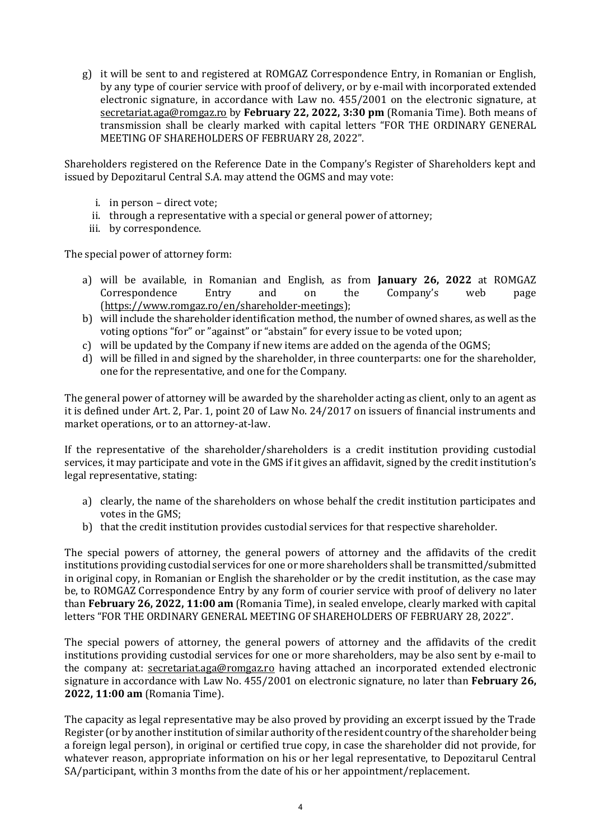g) it will be sent to and registered at ROMGAZ Correspondence Entry, in Romanian or English, by any type of courier service with proof of delivery, or by e-mail with incorporated extended electronic signature, in accordance with Law no. 455/2001 on the electronic signature, at [secretariat.aga@romgaz.ro](mailto:secretariat.aga%40romgaz.ro) by **February 22, 2022, 3:30 pm** (Romania Time). Both means of transmission shall be clearly marked with capital letters "FOR THE ORDINARY GENERAL MEETING OF SHAREHOLDERS OF FEBRUARY 28, 2022".

Shareholders registered on the Reference Date in the Company's Register of Shareholders kept and issued by Depozitarul Central S.A. may attend the OGMS and may vote:

- i. in person direct vote;
- ii. through a representative with a special or general power of attorney;
- iii. by correspondence.

The special power of attorney form:

- a) will be available, in Romanian and English, as from **January 26, 2022** at ROMGAZ Correspondence Entry and on the Company's web page [\(https://www.romgaz.ro/en/shareholder-meetings\)](https://www.romgaz.ro/en/shareholder-meetings);
- b) will include the shareholder identification method, the number of owned shares, as well as the voting options "for" or "against" or "abstain" for every issue to be voted upon;
- c) will be updated by the Company if new items are added on the agenda of the OGMS;
- d) will be filled in and signed by the shareholder, in three counterparts: one for the shareholder, one for the representative, and one for the Company.

The general power of attorney will be awarded by the shareholder acting as client, only to an agent as it is defined under Art. 2, Par. 1, point 20 of Law No. 24/2017 on issuers of financial instruments and market operations, or to an attorney-at-law.

If the representative of the shareholder/shareholders is a credit institution providing custodial services, it may participate and vote in the GMS if it gives an affidavit, signed by the credit institution's legal representative, stating:

- a) clearly, the name of the shareholders on whose behalf the credit institution participates and votes in the GMS;
- b) that the credit institution provides custodial services for that respective shareholder.

The special powers of attorney, the general powers of attorney and the affidavits of the credit institutions providing custodial services for one or more shareholders shall be transmitted/submitted in original copy, in Romanian or English the shareholder or by the credit institution, as the case may be, to ROMGAZ Correspondence Entry by any form of courier service with proof of delivery no later than **February 26, 2022, 11:00 am** (Romania Time), in sealed envelope, clearly marked with capital letters "FOR THE ORDINARY GENERAL MEETING OF SHAREHOLDERS OF FEBRUARY 28, 2022".

The special powers of attorney, the general powers of attorney and the affidavits of the credit institutions providing custodial services for one or more shareholders, may be also sent by e-mail to the company at: [secretariat.aga@romgaz.ro](mailto:secretariat.aga%40romgaz.ro) having attached an incorporated extended electronic signature in accordance with Law No. 455/2001 on electronic signature, no later than **February 26, 2022, 11:00 am** (Romania Time).

The capacity as legal representative may be also proved by providing an excerpt issued by the Trade Register (or by another institution of similar authority of the resident country of the shareholder being a foreign legal person), in original or certified true copy, in case the shareholder did not provide, for whatever reason, appropriate information on his or her legal representative, to Depozitarul Central SA/participant, within 3 months from the date of his or her appointment/replacement.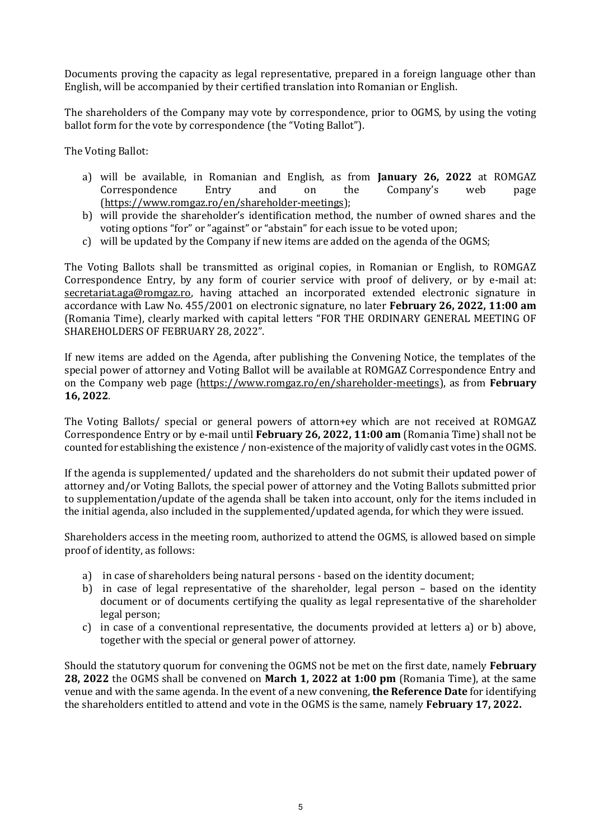Documents proving the capacity as legal representative, prepared in a foreign language other than English, will be accompanied by their certified translation into Romanian or English.

The shareholders of the Company may vote by correspondence, prior to OGMS, by using the voting ballot form for the vote by correspondence (the "Voting Ballot").

The Voting Ballot:

- a) will be available, in Romanian and English, as from **January 26, 2022** at ROMGAZ Correspondence Entry and on the Company's web page [\(https://www.romgaz.ro/en/shareholder-meetings\)](https://www.romgaz.ro/en/shareholder-meetings);
- b) will provide the shareholder's identification method, the number of owned shares and the voting options "for" or "against" or "abstain" for each issue to be voted upon;
- c) will be updated by the Company if new items are added on the agenda of the OGMS;

The Voting Ballots shall be transmitted as original copies, in Romanian or English, to ROMGAZ Correspondence Entry, by any form of courier service with proof of delivery, or by e-mail at: [secretariat.aga@romgaz.ro,](mailto:secretariat.aga%40romgaz.ro) having attached an incorporated extended electronic signature in accordance with Law No. 455/2001 on electronic signature, no later **February 26, 2022, 11:00 am**  (Romania Time), clearly marked with capital letters "FOR THE ORDINARY GENERAL MEETING OF SHAREHOLDERS OF FEBRUARY 28, 2022".

If new items are added on the Agenda, after publishing the Convening Notice, the templates of the special power of attorney and Voting Ballot will be available at ROMGAZ Correspondence Entry and on the Company web page [\(https://www.romgaz.ro/en/shareholder-meetings\)](https://www.romgaz.ro/en/shareholder-meetings), as from **February 16, 2022**.

The Voting Ballots/ special or general powers of attorn+ey which are not received at ROMGAZ Correspondence Entry or by e-mail until **February 26, 2022, 11:00 am** (Romania Time) shall not be counted for establishing the existence / non-existence of the majority of validly cast votes in the OGMS.

If the agenda is supplemented/ updated and the shareholders do not submit their updated power of attorney and/or Voting Ballots, the special power of attorney and the Voting Ballots submitted prior to supplementation/update of the agenda shall be taken into account, only for the items included in the initial agenda, also included in the supplemented/updated agenda, for which they were issued.

Shareholders access in the meeting room, authorized to attend the OGMS, is allowed based on simple proof of identity, as follows:

- a) in case of shareholders being natural persons based on the identity document;
- b) in case of legal representative of the shareholder, legal person based on the identity document or of documents certifying the quality as legal representative of the shareholder legal person;
- c) in case of a conventional representative, the documents provided at letters a) or b) above, together with the special or general power of attorney.

Should the statutory quorum for convening the OGMS not be met on the first date, namely **February 28, 2022** the OGMS shall be convened on **March 1, 2022 at 1:00 pm** (Romania Time), at the same venue and with the same agenda. In the event of a new convening, **the Reference Date** for identifying the shareholders entitled to attend and vote in the OGMS is the same, namely **February 17, 2022.**